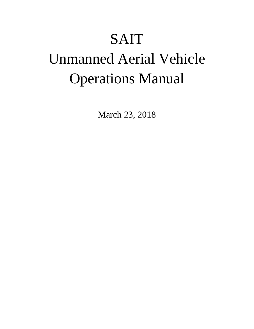## SAIT

# Unmanned Aerial Vehicle Operations Manual

March 23, 2018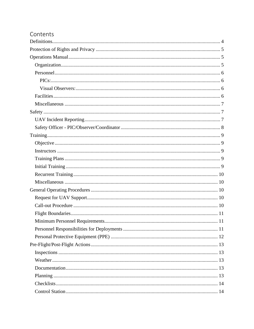### Contents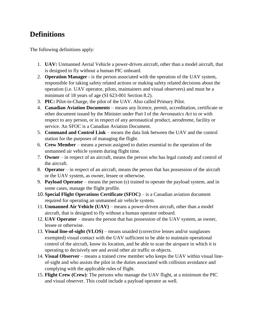## <span id="page-3-0"></span>**Definitions**

The following definitions apply:

- 1. **UAV:** Unmanned Aerial Vehicle a power-driven aircraft, other than a model aircraft, that is designed to fly without a human PIC onboard.
- 2. **Operation Manager -** is the person associated with the operation of the UAV system, responsible for taking safety related actions or making safety related decisions about the operation (i.e. UAV operator, pilots, maintainers and visual observers) and must be a minimum of 18 years of age (SI 623-001 Section 8.2).
- 3. **PIC:** Pilot-in-Charge, the pilot of the UAV. Also called Primary Pilot.
- 4. **Canadian Aviation Documents** means any licence, permit, accreditation, certificate or other document issued by the Minister under Part I of the *Aeronautics Act* to or with respect to any person, or in respect of any aeronautical product, aerodrome, facility or service. An SFOC is a Canadian Aviation Document.
- 5. **Command and Control Link** means the data link between the UAV and the control station for the purposes of managing the flight.
- 6. **Crew Member** means a person assigned to duties essential to the operation of the unmanned air vehicle system during flight time.
- 7. **Owner** in respect of an aircraft, means the person who has legal custody and control of the aircraft.
- 8. **Operator** in respect of an aircraft, means the person that has possession of the aircraft or the UAV system, as owner, lessee or otherwise.
- 9. **Payload Operator** means the person (s) trained to operate the payload system, and in some cases, manage the flight profile.
- 10.**Special Flight Operations Certificate (SFOC)** is a Canadian aviation document required for operating an unmanned air vehicle system.
- 11. **Unmanned Air Vehicle (UAV)**  means a power-driven aircraft, other than a model aircraft, that is designed to fly without a human operator onboard.
- 12. **UAV Operator** means the person that has possession of the UAV system, as owner, lessee or otherwise.
- 13. **Visual line-of-sight (VLOS)** means unaided (corrective lenses and/or sunglasses exempted) visual contact with the UAV sufficient to be able to maintain operational control of the aircraft, know its location, and be able to scan the airspace in which it is operating to decisively see and avoid other air traffic or objects.
- 14. **Visual Observer** means a trained crew member who keeps the UAV within visual lineof-sight and who assists the pilot in the duties associated with collision avoidance and complying with the applicable rules of flight.
- 15. **Flight Crew (Crew)**: The persons who manage the UAV flight, at a minimum the PIC and visual observer. This could include a payload operator as well.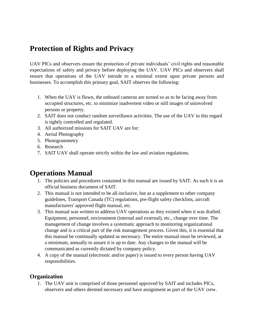## <span id="page-4-0"></span>**Protection of Rights and Privacy**

UAV PICs and observers ensure the protection of private individuals' civil rights and reasonable expectations of safety and privacy before deploying the UAV. UAV PICs and observers shall ensure that operations of the UAV intrude to a minimal extent upon private persons and businesses. To accomplish this primary goal, SAIT observes the following:

- 1. When the UAV is flown, the onboard cameras are turned so as to be facing away from occupied structures, etc. to minimize inadvertent video or still images of uninvolved persons or property.
- 2. SAIT does not conduct random surveillance activities. The use of the UAV in this regard is tightly controlled and regulated.
- 3. All authorized missions for SAIT UAV are for:
- 4. Aerial Photography
- 5. Photogrammetry
- 6. Research
- 7. SAIT UAV shall operate strictly within the law and aviation regulations.

## <span id="page-4-1"></span>**Operations Manual**

- 1. The policies and procedures contained in this manual are issued by SAIT. As such it is an official business document of SAIT.
- 2. This manual is not intended to be all-inclusive, but as a supplement to other company guidelines, Transport Canada (TC) regulations, pre-flight safety checklists, aircraft manufacturers' approved flight manual, etc.
- 3. This manual was written to address UAV operations as they existed when it was drafted. Equipment, personnel, environment (internal and external), etc., change over time. The management of change involves a systematic approach to monitoring organizational change and is a critical part of the risk management process. Given this, it is essential that this manual be continually updated as necessary. The entire manual must be reviewed, at a minimum, annually to assure it is up to date. Any changes to the manual will be communicated as currently dictated by company policy.
- 4. A copy of the manual (electronic and/or paper) is issued to every person having UAV responsibilities.

#### <span id="page-4-2"></span>**Organization**

1. The UAV unit is comprised of those personnel approved by SAIT and includes PICs, observers and others deemed necessary and have assignment as part of the UAV crew.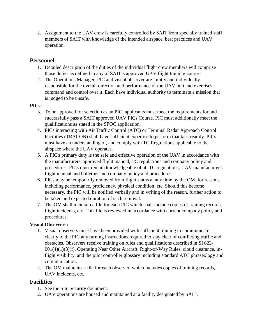2. Assignment to the UAV crew is carefully controlled by SAIT from specially trained staff members of SAIT with knowledge of the intended airspace, best practices and UAV operation.

#### <span id="page-5-0"></span>**Personnel**

- 1. Detailed description of the duties of the individual flight crew members will comprise those duties as defined in any of SAIT's approved UAV flight training courses.
- 2. The Operations Manager, PIC and visual observer are jointly and individually responsible for the overall direction and performance of the UAV unit and exercises command and control over it. Each have individual authority to terminate a mission that is judged to be unsafe.

#### <span id="page-5-1"></span>**PICs:**

- 3. To be approved for selection as an PIC, applicants must meet the requirements for and successfully pass a SAIT approved UAV PICs Course. PIC must additionally meet the qualifications as stated in the SFOC application.
- 4. PICs interacting with Air Traffic Control (ATC) or Terminal Radar Approach Control Facilities (TRACON) shall have sufficient expertise to perform that task readily. PICs must have an understanding of, and comply with TC Regulations applicable to the airspace where the UAV operates.
- 5. A PIC's primary duty is the safe and effective operation of the UAV in accordance with the manufacturers' approved flight manual, TC regulations and company policy and procedures. PICs must remain knowledgeable of all TC regulations; UAV manufacturer's flight manual and bulletins and company policy and procedures.
- 6. PICs may be temporarily removed from flight status at any time by the OM, for reasons including performance, proficiency, physical condition, etc. Should this become necessary, the PIC will be notified verbally and in writing of the reason, further action to be taken and expected duration of such removal.
- 7. The OM shall maintain a file for each PIC which shall include copies of training records, flight incidents, etc. This file is reviewed in accordance with current company policy and procedures.

#### <span id="page-5-2"></span>**Visual Observers:**

- 1. Visual observers must have been provided with sufficient training to communicate clearly to the PIC any turning instructions required to stay clear of conflicting traffic and obstacles. Observers receive training on rules and qualifications described in SI 623- 001(4)(1)(3)(f), Operating Near Other Aircraft, Right-of-Way Rules, cloud clearance, inflight visibility, and the pilot controller glossary including standard ATC phraseology and communication.
- 2. The OM maintains a file for each observer, which includes copies of training records, UAV incidents, etc.

#### <span id="page-5-3"></span>**Facilities**

- 1. See the Site Security document.
- 2. UAV operations are housed and maintained at a facility designated by SAIT.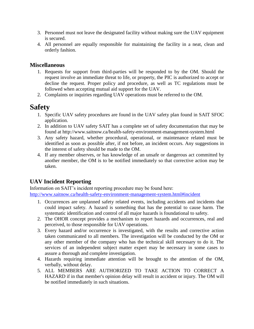- 3. Personnel must not leave the designated facility without making sure the UAV equipment is secured.
- 4. All personnel are equally responsible for maintaining the facility in a neat, clean and orderly fashion.

#### <span id="page-6-0"></span>**Miscellaneous**

- 1. Requests for support from third-parties will be responded to by the OM. Should the request involve an immediate threat to life, or property, the PIC is authorized to accept or decline the request. Proper policy and procedure, as well as TC regulations must be followed when accepting mutual aid support for the UAV.
- 2. Complaints or inquiries regarding UAV operations must be referred to the OM.

## <span id="page-6-1"></span>**Safety**

- 1. Specific UAV safety procedures are found in the UAV safety plan found in SAIT SFOC application.
- 2. In addition to UAV safety SAIT has a complete set of safety documentation that may be found at http://www.saitnow.ca/health-safety-environment-management-system.html
- 3. Any safety hazard, whether procedural, operational, or maintenance related must be identified as soon as possible after, if not before, an incident occurs. Any suggestions in the interest of safety should be made to the OM.
- 4. If any member observes, or has knowledge of an unsafe or dangerous act committed by another member, the OM is to be notified immediately so that corrective action may be taken.

#### <span id="page-6-2"></span>**UAV Incident Reporting**

Information on SAIT's incident reporting procedure may be found here:

<http://www.saitnow.ca/health-safety-environment-management-system.html#incident>

- 1. Occurrences are unplanned safety related events, including accidents and incidents that could impact safety. A hazard is something that has the potential to cause harm. The systematic identification and control of all major hazards is foundational to safety.
- 2. The OHOR concept provides a mechanism to report hazards and occurrences, real and perceived, to those responsible for UAV operations.
- 3. Every hazard and/or occurrence is investigated, with the results and corrective action taken communicated to all members. The investigation will be conducted by the OM or any other member of the company who has the technical skill necessary to do it. The services of an independent subject matter expert may be necessary in some cases to assure a thorough and complete investigation.
- 4. Hazards requiring immediate attention will be brought to the attention of the OM, verbally, without delay.
- 5. ALL MEMBERS ARE AUTHORIZED TO TAKE ACTION TO CORRECT A HAZARD if in that member's opinion delay will result in accident or injury. The OM will be notified immediately in such situations.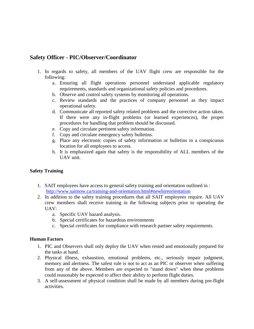#### <span id="page-7-0"></span>**Safety Officer - PIC/Observer/Coordinator**

- 1. In regards to safety, all members of the UAV flight crew are responsible for the following:
	- a. Ensuring all flight operations personnel understand applicable regulatory requirements, standards and organizational safety policies and procedures.
	- b. Observe and control safety systems by monitoring all operations.
	- c. Review standards and the practices of company personnel as they impact operational safety.
	- d. Communicate all reported safety related problems and the corrective action taken. If there were any in-flight problems (or learned experiences), the proper procedures for handling that problem should be discussed.
	- e. Copy and circulate pertinent safety information.
	- f. Copy and circulate emergency safety bulletins.
	- g. Place any electronic copies of safety information or bulletins in a conspicuous location for all employees to access.
	- h. It is emphasized again that safety is the responsibility of ALL members of the UAV unit.

#### **Safety Training**

- 1. SAIT employees have access to general safety training and orientation outlined in : <http://www.saitnow.ca/training-and-orientation.html#newhireorientation>
- 2. In addition to the safety training procedures that all SAIT employees require. All UAV crew members shall receive training in the following subjects prior to operating the UAV:
	- a. Specific UAV hazard analysis.
	- b. Special certificates for hazardous environments
	- c. Special certificates for compliance with research partner safety requirements.

#### **Human Factors**

- 1. PIC and Observers shall only deploy the UAV when rested and emotionally prepared for the tasks at hand.
- 2. Physical illness, exhaustion, emotional problems, etc., seriously impair judgment, memory and alertness. The safest rule is not to act as an PIC or observer when suffering from any of the above. Members are expected to "stand down" when these problems could reasonably be expected to affect their ability to perform flight duties.
- 3. A self-assessment of physical condition shall be made by all members during pre-flight activities.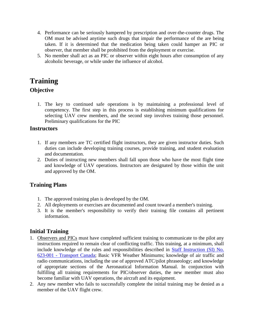- 4. Performance can be seriously hampered by prescription and over-the-counter drugs. The OM must be advised anytime such drugs that impair the performance of the are being taken. If it is determined that the medication being taken could hamper an PIC or observer, that member shall be prohibited from the deployment or exercise.
- 5. No member shall act as an PIC or observer within eight hours after consumption of any alcoholic beverage, or while under the influence of alcohol.

## <span id="page-8-1"></span><span id="page-8-0"></span>**Training Objective**

1. The key to continued safe operations is by maintaining a professional level of competency. The first step in this process is establishing minimum qualifications for selecting UAV crew members, and the second step involves training those personnel. Preliminary qualifications for the PIC

#### <span id="page-8-2"></span>**Instructors**

- 1. If any members are TC certified flight instructors, they are given instructor duties. Such duties can include developing training courses, provide training, and student evaluation and documentation.
- 2. Duties of instructing new members shall fall upon those who have the most flight time and knowledge of UAV operations. Instructors are designated by those within the unit and approved by the OM.

#### <span id="page-8-3"></span>**Training Plans**

- 1. The approved training plan is developed by the OM.
- 2. All deployments or exercises are documented and count toward a member's training.
- 3. It is the member's responsibility to verify their training file contains all pertinent information.

#### <span id="page-8-4"></span>**Initial Training**

- 1. Observers and PICs must have completed sufficient training to communicate to the pilot any instructions required to remain clear of conflicting traffic. This training, at a minimum, shall include knowledge of the rules and responsibilities described in [Staff Instruction \(SI\) No.](https://www.google.ca/url?sa=t&rct=j&q=&esrc=s&source=web&cd=1&ved=0ahUKEwjs_5fF14DaAhVbHGMKHaZoCZIQFggsMAA&url=https%3A%2F%2Fwww.tc.gc.ca%2Feng%2Fcivilaviation%2Fstandards%2Fgeneral-recavi-uav-4161.html&usg=AOvVaw2SGBhVWAHEYWCxGZUK_ZE8)  623-001 - [Transport Canada;](https://www.google.ca/url?sa=t&rct=j&q=&esrc=s&source=web&cd=1&ved=0ahUKEwjs_5fF14DaAhVbHGMKHaZoCZIQFggsMAA&url=https%3A%2F%2Fwww.tc.gc.ca%2Feng%2Fcivilaviation%2Fstandards%2Fgeneral-recavi-uav-4161.html&usg=AOvVaw2SGBhVWAHEYWCxGZUK_ZE8) Basic VFR Weather Minimums; knowledge of air traffic and radio communications, including the use of approved ATC/pilot phraseology; and knowledge of appropriate sections of the Aeronautical Information Manual. In conjunction with fulfilling all training requirements for PIC/observer duties, the new member must also become familiar with UAV operations, the aircraft and its equipment.
- 2. Any new member who fails to successfully complete the initial training may be denied as a member of the UAV flight crew.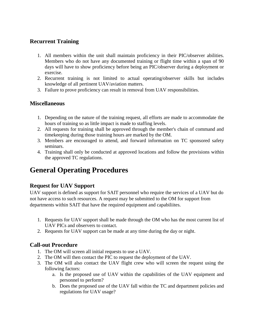#### <span id="page-9-0"></span>**Recurrent Training**

- 1. All members within the unit shall maintain proficiency in their PIC/observer abilities. Members who do not have any documented training or flight time within a span of 90 days will have to show proficiency before being an PIC/observer during a deployment or exercise.
- 2. Recurrent training is not limited to actual operating/observer skills but includes knowledge of all pertinent UAV/aviation matters.
- 3. Failure to prove proficiency can result in removal from UAV responsibilities.

#### <span id="page-9-1"></span>**Miscellaneous**

- 1. Depending on the nature of the training request, all efforts are made to accommodate the hours of training so as little impact is made to staffing levels.
- 2. All requests for training shall be approved through the member's chain of command and timekeeping during those training hours are marked by the OM.
- 3. Members are encouraged to attend, and forward information on TC sponsored safety seminars.
- 4. Training shall only be conducted at approved locations and follow the provisions within the approved TC regulations.

## <span id="page-9-2"></span>**General Operating Procedures**

#### <span id="page-9-3"></span>**Request for UAV Support**

UAV support is defined as support for SAIT personnel who require the services of a UAV but do not have access to such resources. A request may be submitted to the OM for support from departments within SAIT that have the required equipment and capabiliites.

- 1. Requests for UAV support shall be made through the OM who has the most current list of UAV PICs and observers to contact.
- 2. Requests for UAV support can be made at any time during the day or night.

#### <span id="page-9-4"></span>**Call-out Procedure**

- 1. The OM will screen all initial requests to use a UAV.
- 2. The OM will then contact the PIC to request the deployment of the UAV.
- 3. The OM will also contact the UAV flight crew who will screen the request using the following factors:
	- a. Is the proposed use of UAV within the capabilities of the UAV equipment and personnel to perform?
	- b. Does the proposed use of the UAV fall within the TC and department policies and regulations for UAV usage?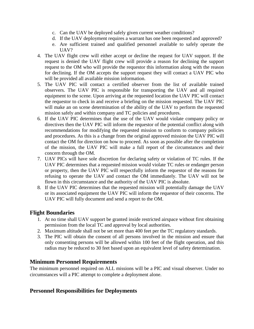- c. Can the UAV be deployed safely given current weather conditions?
- d. If the UAV deployment requires a warrant has one been requested and approved?
- e. Are sufficient trained and qualified personnel available to safely operate the UAV?
- 4. The UAV flight crew will either accept or decline the request for UAV support. If the request is denied the UAV flight crew will provide a reason for declining the support request to the OM who will provide the requestor this information along with the reason for declining. If the OM accepts the support request they will contact a UAV PIC who will be provided all available mission information.
- 5. The UAV PIC will contact a certified observer from the list of available trained observers. The UAV PIC is responsible for transporting the UAV and all required equipment to the scene. Upon arriving at the requested location the UAV PIC will contact the requestor to check in and receive a briefing on the mission requested. The UAV PIC will make an on scene determination of the ability of the UAV to perform the requested mission safely and within company and TC policies and procedures.
- 6. If the UAV PIC determines that the use of the UAV would violate company policy or directives then the UAV PIC will inform the requestor of the potential conflict along with recommendations for modifying the requested mission to conform to company policies and procedures. As this is a change from the original approved mission the UAV PIC will contact the OM for direction on how to proceed. As soon as possible after the completion of the mission, the UAV PIC will make a full report of the circumstances and their concern through the OM.
- 7. UAV PICs will have sole discretion for declaring safety or violation of TC rules. If the UAV PIC determines that a requested mission would violate TC rules or endanger person or property, then the UAV PIC will respectfully inform the requestor of the reasons for refusing to operate the UAV and contact the OM immediately. The UAV will not be flown in this circumstance and the authority of the UAV PIC is absolute.
- 8. If the UAV PIC determines that the requested mission will potentially damage the UAV or its associated equipment the UAV PIC will inform the requestor of their concerns. The UAV PIC will fully document and send a report to the OM.

#### <span id="page-10-0"></span>**Flight Boundaries**

- 1. At no time shall UAV support be granted inside restricted airspace without first obtaining permission from the local TC and approval by local authorities.
- 2. Maximum altitude shall not be set more than 400 feet per the TC regulatory standards.
- 3. The PIC will obtain the consent of all persons involved in the mission and ensure that only consenting persons will be allowed within 100 feet of the flight operation, and this radius may be reduced to 30 feet based upon an equivalent level of safety determination.

#### <span id="page-10-1"></span>**Minimum Personnel Requirements**

The minimum personnel required on ALL missions will be a PIC and visual observer. Under no circumstances will a PIC attempt to complete a deployment alone.

#### <span id="page-10-2"></span>**Personnel Responsibilities for Deployments**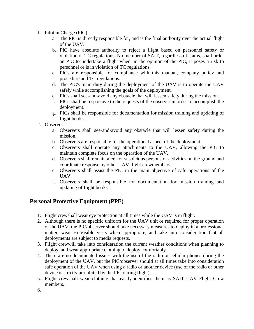- 1. Pilot in Charge (PIC)
	- a. The PIC is directly responsible for, and is the final authority over the actual flight of the UAV.
	- b. PIC have absolute authority to reject a flight based on personnel safety or violation of TC regulations. No member of SAIT, regardless of status, shall order an PIC to undertake a flight when, in the opinion of the PIC, it poses a risk to personnel or is in violation of TC regulations.
	- c. PICs are responsible for compliance with this manual, company policy and procedure and TC regulations.
	- d. The PIC's main duty during the deployment of the UAV is to operate the UAV safely while accomplishing the goals of the deployment.
	- e. PICs shall see-and-avoid any obstacle that will lessen safety during the mission.
	- f. PICs shall be responsive to the requests of the observer in order to accomplish the deployment.
	- g. PICs shall be responsible for documentation for mission training and updating of flight books.
- 2. Observer
	- a. Observers shall see-and-avoid any obstacle that will lessen safety during the mission.
	- b. Observers are responsible for the operational aspect of the deployment.
	- c. Observers shall operate any attachments to the UAV, allowing the PIC to maintain complete focus on the operation of the UAV.
	- d. Observers shall remain alert for suspicious persons or activities on the ground and coordinate response by other UAV flight crewmembers.
	- e. Observers shall assist the PIC in the main objective of safe operations of the UAV.
	- f. Observers shall be responsible for documentation for mission training and updating of flight books.

#### <span id="page-11-0"></span>**Personal Protective Equipment (PPE)**

- 1. Flight crewshall wear eye protection at all times while the UAV is in flight.
- 2. Although there is no specific uniform for the UAV unit or required for proper operation of the UAV, the PIC/observer should take necessary measures to deploy in a professional matter, wear Hi-Visible vests when appropriate, and take into consideration that all deployments are subject to media requests.
- 3. Flight crewwill take into consideration the current weather conditions when planning to deploy, and wear appropriate clothing to deploy comfortably.
- 4. There are no documented issues with the use of the radio or cellular phones during the deployment of the UAV, but the PIC/observer should at all times take into consideration safe operation of the UAV when using a radio or another device (use of the radio or other device is strictly prohibited by the PIC during flight).
- 5. Flight crewshall wear clothing that easily identifies them as SAIT UAV Flight Crew members.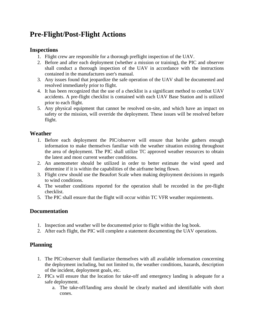## <span id="page-12-0"></span>**Pre-Flight/Post-Flight Actions**

#### <span id="page-12-1"></span>**Inspections**

- 1. Flight crew are responsible for a thorough preflight inspection of the UAV.
- 2. Before and after each deployment (whether a mission or training), the PIC and observer shall conduct a thorough inspection of the UAV in accordance with the instructions contained in the manufactures user's manual.
- 3. Any issues found that jeopardize the safe operation of the UAV shall be documented and resolved immediately prior to flight.
- 4. It has been recognized that the use of a checklist is a significant method to combat UAV accidents. A pre-flight checklist is contained with each UAV Base Station and is utilized prior to each flight.
- 5. Any physical equipment that cannot be resolved on-site, and which have an impact on safety or the mission, will override the deployment. These issues will be resolved before flight.

#### <span id="page-12-2"></span>**Weather**

- 1. Before each deployment the PIC/observer will ensure that he/she gathers enough information to make themselves familiar with the weather situation existing throughout the area of deployment. The PIC shall utilize TC approved weather resources to obtain the latest and most current weather conditions.
- 2. An anemometer should be utilized in order to better estimate the wind speed and determine if it is within the capabilities of the airframe being flown.
- 3. Flight crew should use the Beaufort Scale when making deployment decisions in regards to wind conditions.
- 4. The weather conditions reported for the operation shall be recorded in the pre-flight checklist.
- 5. The PIC shall ensure that the flight will occur within TC VFR weather requirements.

#### <span id="page-12-3"></span>**Documentation**

- 1. Inspection and weather will be documented prior to flight within the log book.
- 2. After each flight, the PIC will complete a statement documenting the UAV operations.

#### <span id="page-12-4"></span>**Planning**

- 1. The PIC/observer shall familiarize themselves with all available information concerning the deployment including, but not limited to, the weather conditions, hazards, description of the incident, deployment goals, etc.
- 2. PICs will ensure that the location for take-off and emergency landing is adequate for a safe deployment.
	- a. The take-off/landing area should be clearly marked and identifiable with short cones.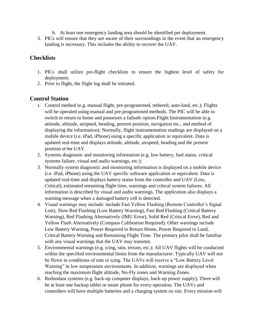- b. At least one emergency landing area should be identified per deployment.
- 3. PICs will ensure that they are aware of their surroundings in the event that an emergency landing is necessary. This includes the ability to recover the UAV.

#### <span id="page-13-0"></span>**Checklists**

- 1. PICs shall utilize pre-flight checklists to ensure the highest level of safety for deployment.
- 2. Prior to flight, the flight log shall be initiated.

#### <span id="page-13-1"></span>**Control Station**

- 1. Control method (e.g. manual flight, pre-programmed, tethered, auto-land, etc.); Flights will be operated using manual and pre-programmed methods. The PIC will be able to switch to return to home and possesses a failsafe option. Flight Instrumentation (e.g. attitude, altitude, airspeed, heading, present position, navigation etc., and method of displaying the information): Normally, flight instrumentation readings are displayed on a mobile device (i.e. iPad, iPhone) using a specific application or equivalent. Data is updated real-time and displays attitude, altitude, airspeed, heading and the present position of the UAV.
- 2. Systems diagnostic and monitoring information (e.g. low battery, fuel status, critical systems failure, visual and audio warnings, etc.);
- 3. Normally system diagnostic and monitoring information is displayed on a mobile device (i.e. iPad, iPhone) using the UAV specific software application or equivalent. Data is updated real-time and displays battery status from the controller and UAV (Low, Critical), estimated remaining flight time, warnings and critical system failures. All information is described by visual and audio warnings. The application also displays a warning message when a damaged battery cell is detected.
- 4. Visual warnings may include: include Fast Yellow Flashing (Remote Controller's Signal Lost), Slow Red Flashing (Low Battery Warning), Fast Red Flashing (Critical Battery Warning), Red Flashing Alternatively (IMU Error), Solid Red (Critical Error), Red and Yellow Flash Alternatively (Compass Calibration Required). Other warnings include Low Battery Warning, Power Required to Return Home, Power Required to Land, Critical Battery Warning and Remaining Flight Time. The primary pilot shall be familiar with any visual warnings that the UAV may transmit.
- 5. Environmental warnings (e.g. icing, rain, terrain, etc.); All UAV flights will be conducted within the specified environmental limits from the manufacturer. Typically UAV will not be flown in conditions of rain or icing. The UAVs will receive a "Low Battery Level Warning" in low temperature environments. In addition, warnings are displayed when reaching the maximum flight altitude, No-Fly zones and Warning Zones.
- 6. Redundant systems (e.g. back-up computer displays, back-up power supply); There will be at least one backup tablet or smart phone for every operation. The UAVs and controllers will have multiple batteries and a charging system on site. Every mission will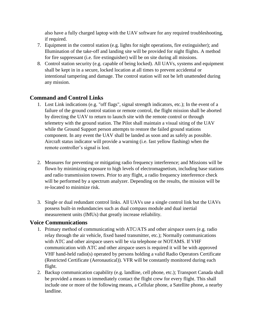also have a fully charged laptop with the UAV software for any required troubleshooting, if required.

- 7. Equipment in the control station (e.g. lights for night operations, fire extinguisher); and Illumination of the take-off and landing site will be provided for night flights. A method for fire suppressant (i.e. fire extinguisher) will be on site during all missions.
- 8. Control station security (e.g. capable of being locked). All UAVs, systems and equipment shall be kept in in a secure, locked location at all times to prevent accidental or intentional tampering and damage. The control station will not be left unattended during any mission.

#### <span id="page-14-0"></span>**Command and Control Links**

- 1. Lost Link indications (e.g. "off flags", signal strength indicators, etc.); In the event of a failure of the ground control station or remote control, the flight mission shall be aborted by directing the UAV to return to launch site with the remote control or through telemetry with the ground station. The Pilot shall maintain a visual siting of the UAV while the Ground Support person attempts to restore the failed ground stations component. In any event the UAV shall be landed as soon and as safely as possible. Aircraft status indicator will provide a warning (i.e. fast yellow flashing) when the remote controller's signal is lost.
- 2. Measures for preventing or mitigating radio frequency interference; and Missions will be flown by minimizing exposure to high levels of electromagnetism, including base stations and radio transmission towers. Prior to any flight, a radio frequency interference check will be performed by a spectrum analyzer. Depending on the results, the mission will be re-located to minimize risk.
- 3. Single or dual redundant control links. All UAVs use a single control link but the UAVs possess built-in redundancies such as dual compass module and dual inertial measurement units (IMUs) that greatly increase reliability.

#### <span id="page-14-1"></span>**Voice Communications**

- 1. Primary method of communicating with ATC/ATS and other airspace users (e.g. radio relay through the air vehicle, fixed based transmitter, etc.); Normally communications with ATC and other airspace users will be via telephone or NOTAMS. If VHF communication with ATC and other airspace users is required it will be with approved VHF hand-held radio(s) operated by persons holding a valid Radio Operators Certificate (Restricted Certificate (Aeronautical)). VFR will be constantly monitored during each flight.
- 2. Backup communication capability (e.g. landline, cell phone, etc.); Transport Canada shall be provided a means to immediately contact the flight crew for every flight. This shall include one or more of the following means, a Cellular phone, a Satellite phone, a nearby landline.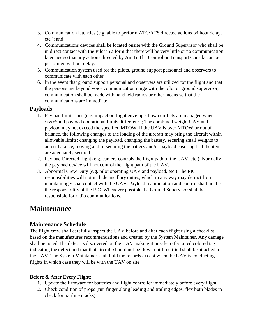- 3. Communication latencies (e.g. able to perform ATC/ATS directed actions without delay, etc.); and
- 4. Communications devices shall be located onsite with the Ground Supervisor who shall be in direct contact with the Pilot in a form that there will be very little or no communication latencies so that any actions directed by Air Traffic Control or Transport Canada can be performed without delay.
- 5. Communication system used for the pilots, ground support personnel and observers to communicate with each other.
- 6. In the event that ground support personal and observers are utilized for the flight and that the persons are beyond voice communication range with the pilot or ground supervisor, communication shall be made with handheld radios or other means so that the communications are immediate.

#### <span id="page-15-0"></span>**Payloads**

- 1. Payload limitations (e.g. impact on flight envelope, how conflicts are managed when aircraft and payload operational limits differ, etc.); The combined weight UAV and payload may not exceed the specified MTOW. If the UAV is over MTOW or out of balance, the following changes to the loading of the aircraft may bring the aircraft within allowable limits: changing the payload, changing the battery, securing small weights to adjust balance, moving and re-securing the battery and/or payload ensuring that the items are adequately secured.
- 2. Payload Directed flight (e.g. camera controls the flight path of the UAV, etc.): Normally the payload device will not control the flight path of the UAV.
- 3. Abnormal Crew Duty (e.g. pilot operating UAV and payload, etc.):The PIC responsibilities will not include ancillary duties, which in any way may detract from maintaining visual contact with the UAV. Payload manipulation and control shall not be the responsibility of the PIC. Whenever possible the Ground Supervisor shall be responsible for radio communications.

## <span id="page-15-1"></span>**Maintenance**

#### <span id="page-15-2"></span>**Maintenance Schedule**

The flight crew shall carefully inspect the UAV before and after each flight using a checklist based on the manufactures recommendations and created by the System Maintainer. Any damage shall be noted. If a defect is discovered on the UAV making it unsafe to fly, a red colored tag indicating the defect and that that aircraft should not be flown until rectified shall be attached to the UAV. The System Maintainer shall hold the records except when the UAV is conducting flights in which case they will be with the UAV on site.

#### <span id="page-15-3"></span>**Before & After Every Flight:**

- 1. Update the firmware for batteries and flight controller immediately before every flight.
- 2. Check condition of props (run finger along leading and trailing edges, flex both blades to check for hairline cracks)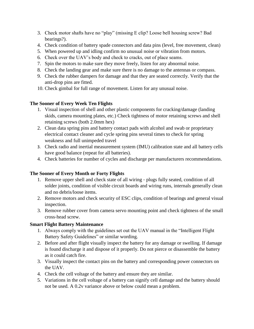- 3. Check motor shafts have no "play" (missing E clip? Loose bell housing screw? Bad bearings?).
- 4. Check condition of battery spade connectors and data pins (level, free movement, clean)
- 5. When powered up and idling confirm no unusual noise or vibration from motors.
- 6. Check over the UAV's body and check to cracks, out of place seams.
- 7. Spin the motors to make sure they move freely, listen for any abnormal noise.
- 8. Check the landing gear and make sure there is no damage to the antennas or compass.
- 9. Check the rubber dampers for damage and that they are seated correctly. Verify that the anti-drop pins are fitted.
- 10. Check gimbal for full range of movement. Listen for any unusual noise.

#### <span id="page-16-0"></span>**The Sooner of Every Week Ten Flights**

- 1. Visual inspection of shell and other plastic components for cracking/damage (landing skids, camera mounting plates, etc.) Check tightness of motor retaining screws and shell retaining screws (both 2.0mm hex)
- 2. Clean data spring pins and battery contact pads with alcohol and swab or proprietary electrical contact cleaner and cycle spring pins several times to check for spring weakness and full unimpeded travel
- 3. Check radio and inertial measurement system (IMU) calibration state and all battery cells have good balance (repeat for all batteries).
- 4. Check batteries for number of cycles and discharge per manufacturers recommendations.

#### <span id="page-16-1"></span>**The Sooner of Every Month or Forty Flights**

- 1. Remove upper shell and check state of all wiring ‐ plugs fully seated, condition of all solder joints, condition of visible circuit boards and wiring runs, internals generally clean and no debris/loose items.
- 2. Remove motors and check security of ESC clips, condition of bearings and general visual inspection.
- 3. Remove rubber cover from camera servo mounting point and check tightness of the small cross‐head screw.

#### <span id="page-16-2"></span>**Smart Flight Battery Maintenance**

- 1. Always comply with the guidelines set out the UAV manual in the "Intelligent Flight Battery Safety Guidelines" or similar wording.
- 2. Before and after flight visually inspect the battery for any damage or swelling. If damage is found discharge it and dispose of it properly. Do not pierce or disassemble the battery as it could catch fire.
- 3. Visually inspect the contact pins on the battery and corresponding power connectors on the UAV.
- 4. Check the cell voltage of the battery and ensure they are similar.
- 5. Variations in the cell voltage of a battery can signify cell damage and the battery should not be used. A 0.2v variance above or below could mean a problem.